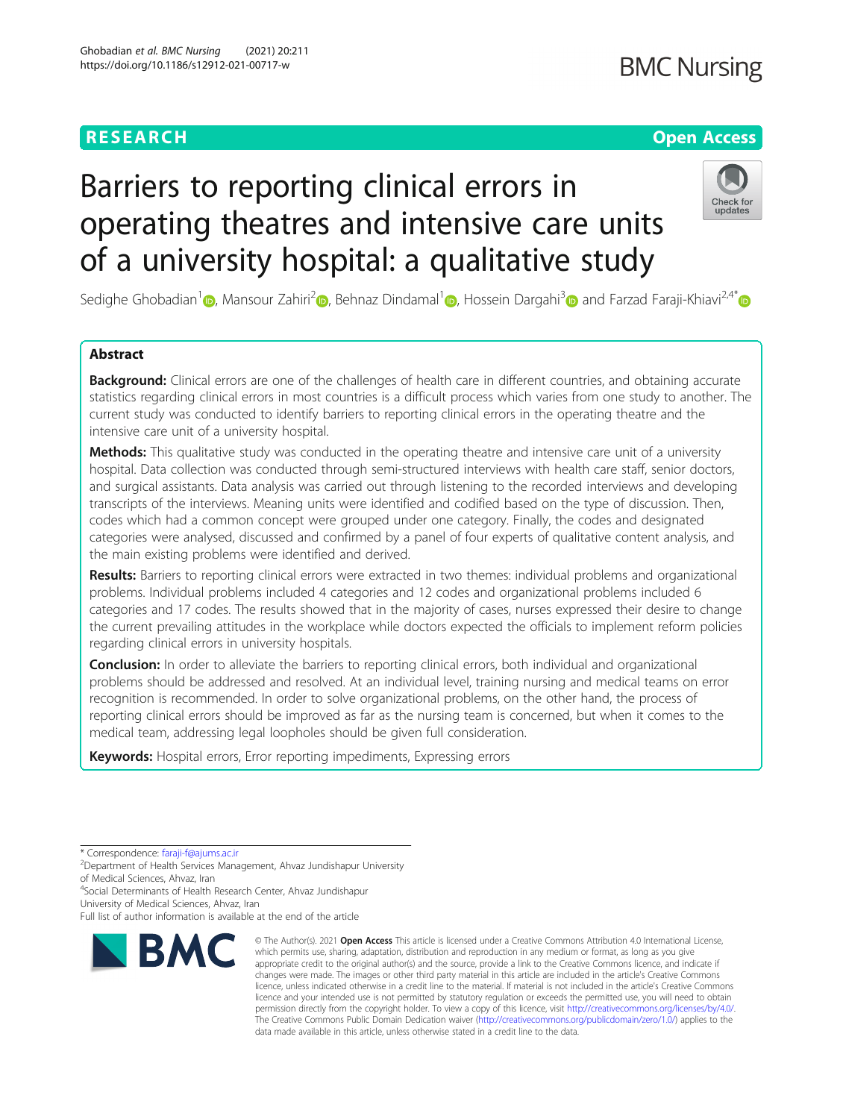# **BMC Nursing**

# **RESEARCH CHE Open Access**

# Barriers to reporting clinical errors in operating theatres and intensive care units of a university hospital: a qualitative study



Sedighe Ghobadian<sup>[1](https://orcid.org/0000-0001-6119-162X)</sup> (D, Mansour Zahiri<sup>[2](https://orcid.org/0000-0001-7382-2847)</sup> (D, Behnaz Dindamal<sup>1</sup> (D, Hossein Dargahi<sup>3</sup> C) and Farzad Faraji-Khiavi<sup>2,4\*</sup> (D

# Abstract

Background: Clinical errors are one of the challenges of health care in different countries, and obtaining accurate statistics regarding clinical errors in most countries is a difficult process which varies from one study to another. The current study was conducted to identify barriers to reporting clinical errors in the operating theatre and the intensive care unit of a university hospital.

Methods: This qualitative study was conducted in the operating theatre and intensive care unit of a university hospital. Data collection was conducted through semi-structured interviews with health care staff, senior doctors, and surgical assistants. Data analysis was carried out through listening to the recorded interviews and developing transcripts of the interviews. Meaning units were identified and codified based on the type of discussion. Then, codes which had a common concept were grouped under one category. Finally, the codes and designated categories were analysed, discussed and confirmed by a panel of four experts of qualitative content analysis, and the main existing problems were identified and derived.

Results: Barriers to reporting clinical errors were extracted in two themes: individual problems and organizational problems. Individual problems included 4 categories and 12 codes and organizational problems included 6 categories and 17 codes. The results showed that in the majority of cases, nurses expressed their desire to change the current prevailing attitudes in the workplace while doctors expected the officials to implement reform policies regarding clinical errors in university hospitals.

Conclusion: In order to alleviate the barriers to reporting clinical errors, both individual and organizational problems should be addressed and resolved. At an individual level, training nursing and medical teams on error recognition is recommended. In order to solve organizational problems, on the other hand, the process of reporting clinical errors should be improved as far as the nursing team is concerned, but when it comes to the medical team, addressing legal loopholes should be given full consideration.

Keywords: Hospital errors, Error reporting impediments, Expressing errors

\* Correspondence: [faraji-f@ajums.ac.ir](mailto:faraji-f@ajums.ac.ir) <sup>2</sup>

<sup>2</sup>Department of Health Services Management, Ahvaz Jundishapur University of Medical Sciences, Ahvaz, Iran

4 Social Determinants of Health Research Center, Ahvaz Jundishapur

University of Medical Sciences, Ahvaz, Iran

Full list of author information is available at the end of the article



<sup>©</sup> The Author(s), 2021 **Open Access** This article is licensed under a Creative Commons Attribution 4.0 International License, which permits use, sharing, adaptation, distribution and reproduction in any medium or format, as long as you give appropriate credit to the original author(s) and the source, provide a link to the Creative Commons licence, and indicate if changes were made. The images or other third party material in this article are included in the article's Creative Commons licence, unless indicated otherwise in a credit line to the material. If material is not included in the article's Creative Commons licence and your intended use is not permitted by statutory regulation or exceeds the permitted use, you will need to obtain permission directly from the copyright holder. To view a copy of this licence, visit [http://creativecommons.org/licenses/by/4.0/.](http://creativecommons.org/licenses/by/4.0/) The Creative Commons Public Domain Dedication waiver [\(http://creativecommons.org/publicdomain/zero/1.0/](http://creativecommons.org/publicdomain/zero/1.0/)) applies to the data made available in this article, unless otherwise stated in a credit line to the data.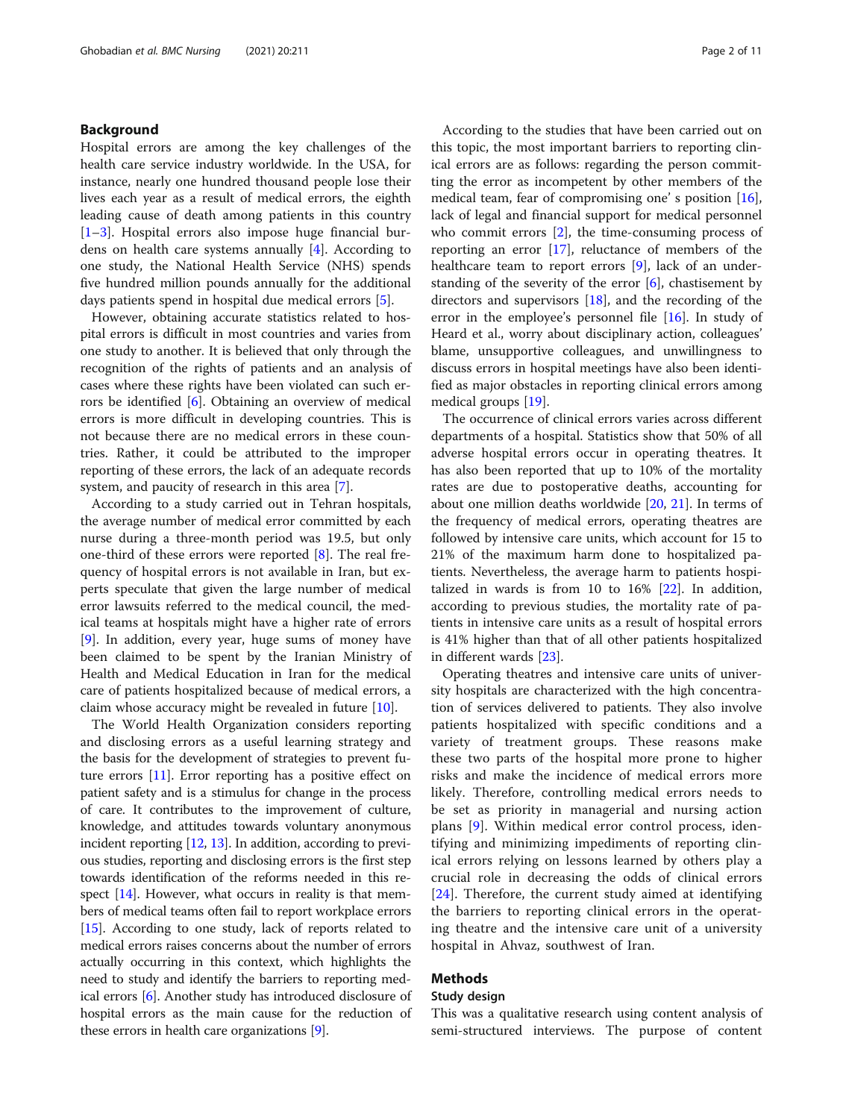# Background

Hospital errors are among the key challenges of the health care service industry worldwide. In the USA, for instance, nearly one hundred thousand people lose their lives each year as a result of medical errors, the eighth leading cause of death among patients in this country [[1](#page-9-0)–[3\]](#page-9-0). Hospital errors also impose huge financial burdens on health care systems annually [\[4](#page-9-0)]. According to one study, the National Health Service (NHS) spends five hundred million pounds annually for the additional days patients spend in hospital due medical errors [\[5](#page-9-0)].

However, obtaining accurate statistics related to hospital errors is difficult in most countries and varies from one study to another. It is believed that only through the recognition of the rights of patients and an analysis of cases where these rights have been violated can such errors be identified [\[6](#page-9-0)]. Obtaining an overview of medical errors is more difficult in developing countries. This is not because there are no medical errors in these countries. Rather, it could be attributed to the improper reporting of these errors, the lack of an adequate records system, and paucity of research in this area [\[7](#page-9-0)].

According to a study carried out in Tehran hospitals, the average number of medical error committed by each nurse during a three-month period was 19.5, but only one-third of these errors were reported  $[8]$  $[8]$ . The real frequency of hospital errors is not available in Iran, but experts speculate that given the large number of medical error lawsuits referred to the medical council, the medical teams at hospitals might have a higher rate of errors [[9\]](#page-10-0). In addition, every year, huge sums of money have been claimed to be spent by the Iranian Ministry of Health and Medical Education in Iran for the medical care of patients hospitalized because of medical errors, a claim whose accuracy might be revealed in future [[10\]](#page-10-0).

The World Health Organization considers reporting and disclosing errors as a useful learning strategy and the basis for the development of strategies to prevent future errors [\[11\]](#page-10-0). Error reporting has a positive effect on patient safety and is a stimulus for change in the process of care. It contributes to the improvement of culture, knowledge, and attitudes towards voluntary anonymous incident reporting [\[12](#page-10-0), [13](#page-10-0)]. In addition, according to previous studies, reporting and disclosing errors is the first step towards identification of the reforms needed in this respect  $[14]$ . However, what occurs in reality is that members of medical teams often fail to report workplace errors [[15](#page-10-0)]. According to one study, lack of reports related to medical errors raises concerns about the number of errors actually occurring in this context, which highlights the need to study and identify the barriers to reporting medical errors [\[6\]](#page-9-0). Another study has introduced disclosure of hospital errors as the main cause for the reduction of these errors in health care organizations [\[9](#page-10-0)].

According to the studies that have been carried out on this topic, the most important barriers to reporting clinical errors are as follows: regarding the person committing the error as incompetent by other members of the medical team, fear of compromising one' s position [\[16](#page-10-0)], lack of legal and financial support for medical personnel who commit errors [[2\]](#page-9-0), the time-consuming process of reporting an error [[17](#page-10-0)], reluctance of members of the healthcare team to report errors [\[9](#page-10-0)], lack of an understanding of the severity of the error [\[6](#page-9-0)], chastisement by directors and supervisors [\[18](#page-10-0)], and the recording of the error in the employee's personnel file [[16\]](#page-10-0). In study of Heard et al., worry about disciplinary action, colleagues' blame, unsupportive colleagues, and unwillingness to discuss errors in hospital meetings have also been identified as major obstacles in reporting clinical errors among medical groups [\[19](#page-10-0)].

The occurrence of clinical errors varies across different departments of a hospital. Statistics show that 50% of all adverse hospital errors occur in operating theatres. It has also been reported that up to 10% of the mortality rates are due to postoperative deaths, accounting for about one million deaths worldwide [\[20,](#page-10-0) [21](#page-10-0)]. In terms of the frequency of medical errors, operating theatres are followed by intensive care units, which account for 15 to 21% of the maximum harm done to hospitalized patients. Nevertheless, the average harm to patients hospitalized in wards is from 10 to  $16\%$   $[22]$  $[22]$  $[22]$ . In addition, according to previous studies, the mortality rate of patients in intensive care units as a result of hospital errors is 41% higher than that of all other patients hospitalized in different wards [\[23\]](#page-10-0).

Operating theatres and intensive care units of university hospitals are characterized with the high concentration of services delivered to patients. They also involve patients hospitalized with specific conditions and a variety of treatment groups. These reasons make these two parts of the hospital more prone to higher risks and make the incidence of medical errors more likely. Therefore, controlling medical errors needs to be set as priority in managerial and nursing action plans [\[9](#page-10-0)]. Within medical error control process, identifying and minimizing impediments of reporting clinical errors relying on lessons learned by others play a crucial role in decreasing the odds of clinical errors [[24\]](#page-10-0). Therefore, the current study aimed at identifying the barriers to reporting clinical errors in the operating theatre and the intensive care unit of a university hospital in Ahvaz, southwest of Iran.

# Methods

# Study design

This was a qualitative research using content analysis of semi-structured interviews. The purpose of content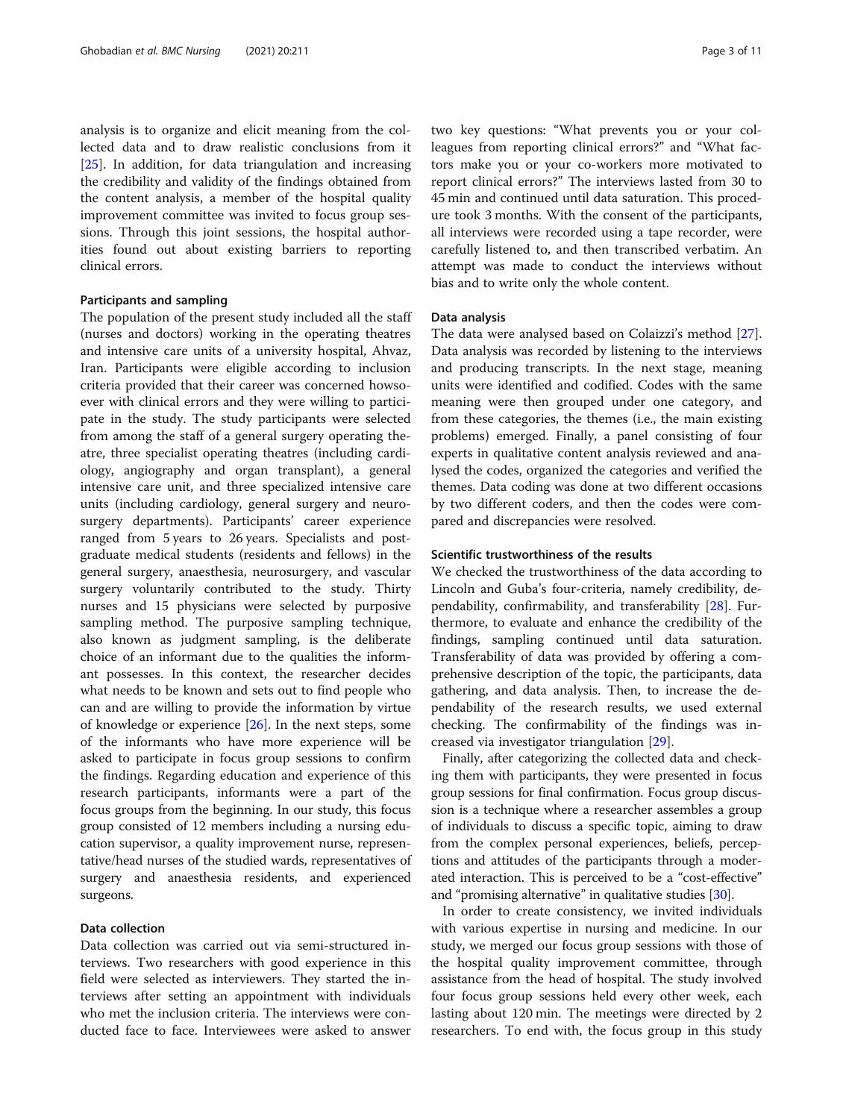analysis is to organize and elicit meaning from the collected data and to draw realistic conclusions from it [[25\]](#page-10-0). In addition, for data triangulation and increasing the credibility and validity of the findings obtained from the content analysis, a member of the hospital quality improvement committee was invited to focus group sessions. Through this joint sessions, the hospital authorities found out about existing barriers to reporting clinical errors.

### Participants and sampling

The population of the present study included all the staff (nurses and doctors) working in the operating theatres and intensive care units of a university hospital, Ahvaz, Iran. Participants were eligible according to inclusion criteria provided that their career was concerned howsoever with clinical errors and they were willing to participate in the study. The study participants were selected from among the staff of a general surgery operating theatre, three specialist operating theatres (including cardiology, angiography and organ transplant), a general intensive care unit, and three specialized intensive care units (including cardiology, general surgery and neurosurgery departments). Participants' career experience ranged from 5 years to 26 years. Specialists and postgraduate medical students (residents and fellows) in the general surgery, anaesthesia, neurosurgery, and vascular surgery voluntarily contributed to the study. Thirty nurses and 15 physicians were selected by purposive sampling method. The purposive sampling technique, also known as judgment sampling, is the deliberate choice of an informant due to the qualities the informant possesses. In this context, the researcher decides what needs to be known and sets out to find people who can and are willing to provide the information by virtue of knowledge or experience [\[26](#page-10-0)]. In the next steps, some of the informants who have more experience will be asked to participate in focus group sessions to confirm the findings. Regarding education and experience of this research participants, informants were a part of the focus groups from the beginning. In our study, this focus group consisted of 12 members including a nursing education supervisor, a quality improvement nurse, representative/head nurses of the studied wards, representatives of surgery and anaesthesia residents, and experienced surgeons.

# Data collection

Data collection was carried out via semi-structured interviews. Two researchers with good experience in this field were selected as interviewers. They started the interviews after setting an appointment with individuals who met the inclusion criteria. The interviews were conducted face to face. Interviewees were asked to answer two key questions: "What prevents you or your colleagues from reporting clinical errors?" and "What factors make you or your co-workers more motivated to report clinical errors?" The interviews lasted from 30 to 45 min and continued until data saturation. This procedure took 3 months. With the consent of the participants, all interviews were recorded using a tape recorder, were carefully listened to, and then transcribed verbatim. An attempt was made to conduct the interviews without bias and to write only the whole content.

## Data analysis

The data were analysed based on Colaizzi's method [\[27](#page-10-0)]. Data analysis was recorded by listening to the interviews and producing transcripts. In the next stage, meaning units were identified and codified. Codes with the same meaning were then grouped under one category, and from these categories, the themes (i.e., the main existing problems) emerged. Finally, a panel consisting of four experts in qualitative content analysis reviewed and analysed the codes, organized the categories and verified the themes. Data coding was done at two different occasions by two different coders, and then the codes were compared and discrepancies were resolved.

# Scientific trustworthiness of the results

We checked the trustworthiness of the data according to Lincoln and Guba's four-criteria, namely credibility, dependability, confirmability, and transferability [[28](#page-10-0)]. Furthermore, to evaluate and enhance the credibility of the findings, sampling continued until data saturation. Transferability of data was provided by offering a comprehensive description of the topic, the participants, data gathering, and data analysis. Then, to increase the dependability of the research results, we used external checking. The confirmability of the findings was increased via investigator triangulation [\[29](#page-10-0)].

Finally, after categorizing the collected data and checking them with participants, they were presented in focus group sessions for final confirmation. Focus group discussion is a technique where a researcher assembles a group of individuals to discuss a specific topic, aiming to draw from the complex personal experiences, beliefs, perceptions and attitudes of the participants through a moderated interaction. This is perceived to be a "cost-effective" and "promising alternative" in qualitative studies [\[30\]](#page-10-0).

In order to create consistency, we invited individuals with various expertise in nursing and medicine. In our study, we merged our focus group sessions with those of the hospital quality improvement committee, through assistance from the head of hospital. The study involved four focus group sessions held every other week, each lasting about 120 min. The meetings were directed by 2 researchers. To end with, the focus group in this study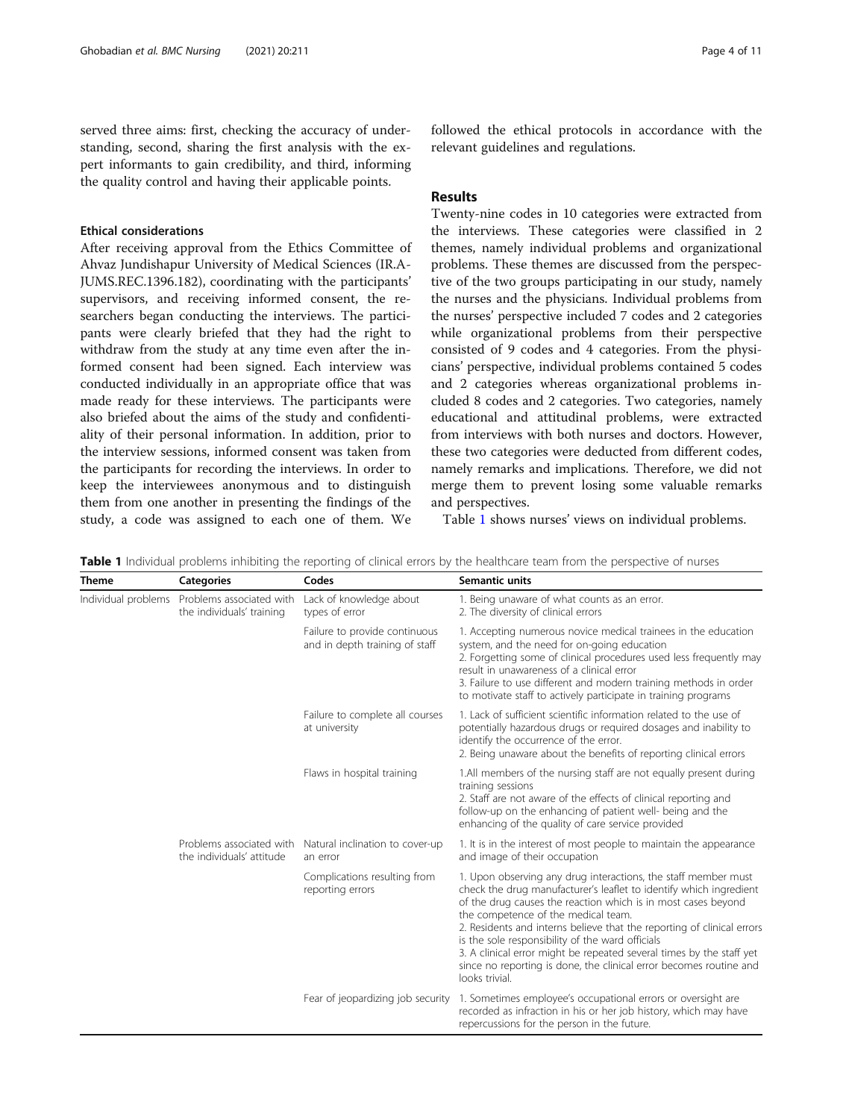served three aims: first, checking the accuracy of understanding, second, sharing the first analysis with the expert informants to gain credibility, and third, informing the quality control and having their applicable points.

# Ethical considerations

After receiving approval from the Ethics Committee of Ahvaz Jundishapur University of Medical Sciences (IR.A-JUMS.REC.1396.182), coordinating with the participants' supervisors, and receiving informed consent, the researchers began conducting the interviews. The participants were clearly briefed that they had the right to withdraw from the study at any time even after the informed consent had been signed. Each interview was conducted individually in an appropriate office that was made ready for these interviews. The participants were also briefed about the aims of the study and confidentiality of their personal information. In addition, prior to the interview sessions, informed consent was taken from the participants for recording the interviews. In order to keep the interviewees anonymous and to distinguish them from one another in presenting the findings of the study, a code was assigned to each one of them. We

followed the ethical protocols in accordance with the relevant guidelines and regulations.

# Results

Twenty-nine codes in 10 categories were extracted from the interviews. These categories were classified in 2 themes, namely individual problems and organizational problems. These themes are discussed from the perspective of the two groups participating in our study, namely the nurses and the physicians. Individual problems from the nurses' perspective included 7 codes and 2 categories while organizational problems from their perspective consisted of 9 codes and 4 categories. From the physicians' perspective, individual problems contained 5 codes and 2 categories whereas organizational problems included 8 codes and 2 categories. Two categories, namely educational and attitudinal problems, were extracted from interviews with both nurses and doctors. However, these two categories were deducted from different codes, namely remarks and implications. Therefore, we did not merge them to prevent losing some valuable remarks and perspectives.

Table 1 shows nurses' views on individual problems.

| <b>Theme</b>        | <b>Categories</b>                                     | Codes                                                           | Semantic units                                                                                                                                                                                                                                                                                                                                                                                                                                                                                                                             |
|---------------------|-------------------------------------------------------|-----------------------------------------------------------------|--------------------------------------------------------------------------------------------------------------------------------------------------------------------------------------------------------------------------------------------------------------------------------------------------------------------------------------------------------------------------------------------------------------------------------------------------------------------------------------------------------------------------------------------|
| Individual problems | Problems associated with<br>the individuals' training | Lack of knowledge about<br>types of error                       | 1. Being unaware of what counts as an error.<br>2. The diversity of clinical errors                                                                                                                                                                                                                                                                                                                                                                                                                                                        |
|                     |                                                       | Failure to provide continuous<br>and in depth training of staff | 1. Accepting numerous novice medical trainees in the education<br>system, and the need for on-going education<br>2. Forgetting some of clinical procedures used less frequently may<br>result in unawareness of a clinical error<br>3. Failure to use different and modern training methods in order<br>to motivate staff to actively participate in training programs                                                                                                                                                                     |
|                     |                                                       | Failure to complete all courses<br>at university                | 1. Lack of sufficient scientific information related to the use of<br>potentially hazardous drugs or required dosages and inability to<br>identify the occurrence of the error.<br>2. Being unaware about the benefits of reporting clinical errors                                                                                                                                                                                                                                                                                        |
|                     |                                                       | Flaws in hospital training                                      | 1.All members of the nursing staff are not equally present during<br>training sessions<br>2. Staff are not aware of the effects of clinical reporting and<br>follow-up on the enhancing of patient well- being and the<br>enhancing of the quality of care service provided                                                                                                                                                                                                                                                                |
|                     | Problems associated with<br>the individuals' attitude | Natural inclination to cover-up<br>an error                     | 1. It is in the interest of most people to maintain the appearance<br>and image of their occupation                                                                                                                                                                                                                                                                                                                                                                                                                                        |
|                     |                                                       | Complications resulting from<br>reporting errors                | 1. Upon observing any drug interactions, the staff member must<br>check the drug manufacturer's leaflet to identify which ingredient<br>of the drug causes the reaction which is in most cases beyond<br>the competence of the medical team.<br>2. Residents and interns believe that the reporting of clinical errors<br>is the sole responsibility of the ward officials<br>3. A clinical error might be repeated several times by the staff yet<br>since no reporting is done, the clinical error becomes routine and<br>looks trivial. |
|                     |                                                       | Fear of jeopardizing job security                               | 1. Sometimes employee's occupational errors or oversight are<br>recorded as infraction in his or her job history, which may have<br>repercussions for the person in the future.                                                                                                                                                                                                                                                                                                                                                            |

Table 1 Individual problems inhibiting the reporting of clinical errors by the healthcare team from the perspective of nurses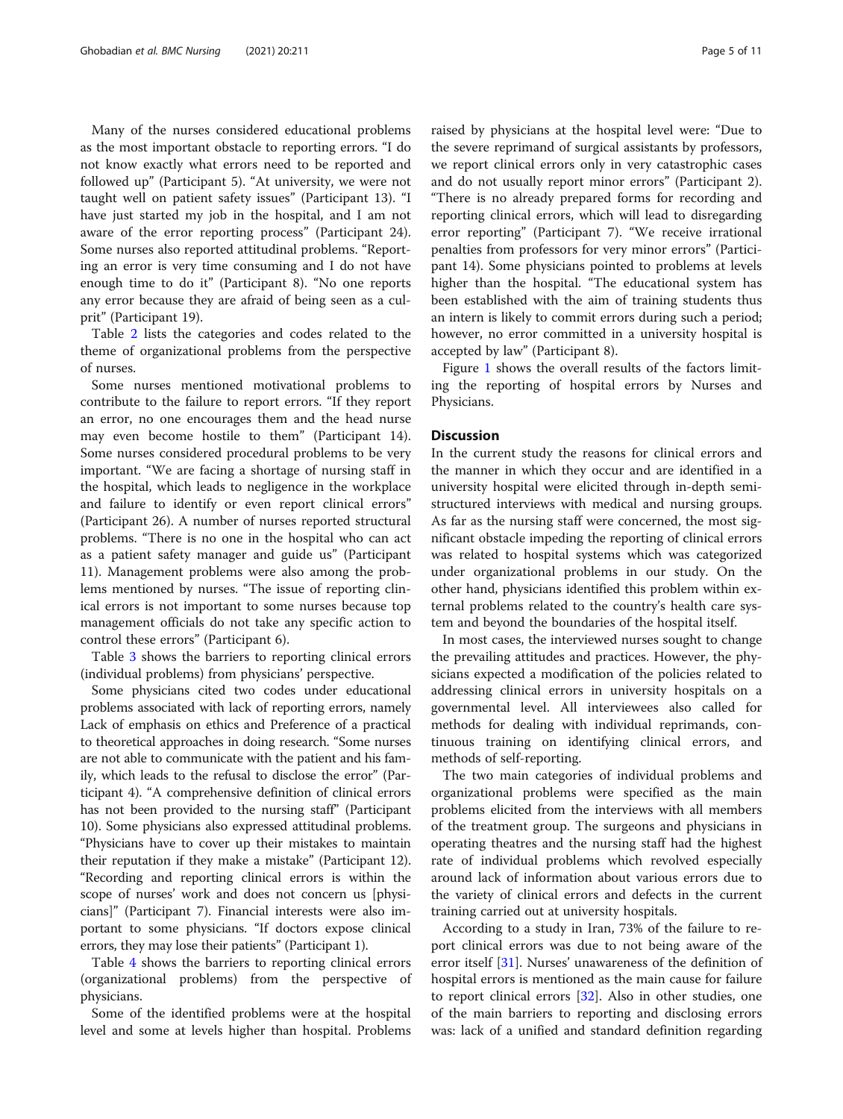Many of the nurses considered educational problems as the most important obstacle to reporting errors. "I do not know exactly what errors need to be reported and followed up" (Participant 5). "At university, we were not taught well on patient safety issues" (Participant 13). "I have just started my job in the hospital, and I am not aware of the error reporting process" (Participant 24). Some nurses also reported attitudinal problems. "Reporting an error is very time consuming and I do not have enough time to do it" (Participant 8). "No one reports any error because they are afraid of being seen as a culprit" (Participant 19).

Table [2](#page-5-0) lists the categories and codes related to the theme of organizational problems from the perspective of nurses.

Some nurses mentioned motivational problems to contribute to the failure to report errors. "If they report an error, no one encourages them and the head nurse may even become hostile to them" (Participant 14). Some nurses considered procedural problems to be very important. "We are facing a shortage of nursing staff in the hospital, which leads to negligence in the workplace and failure to identify or even report clinical errors" (Participant 26). A number of nurses reported structural problems. "There is no one in the hospital who can act as a patient safety manager and guide us" (Participant 11). Management problems were also among the problems mentioned by nurses. "The issue of reporting clinical errors is not important to some nurses because top management officials do not take any specific action to control these errors" (Participant 6).

Table [3](#page-6-0) shows the barriers to reporting clinical errors (individual problems) from physicians' perspective.

Some physicians cited two codes under educational problems associated with lack of reporting errors, namely Lack of emphasis on ethics and Preference of a practical to theoretical approaches in doing research. "Some nurses are not able to communicate with the patient and his family, which leads to the refusal to disclose the error" (Participant 4). "A comprehensive definition of clinical errors has not been provided to the nursing staff" (Participant 10). Some physicians also expressed attitudinal problems. "Physicians have to cover up their mistakes to maintain their reputation if they make a mistake" (Participant 12). "Recording and reporting clinical errors is within the scope of nurses' work and does not concern us [physicians]" (Participant 7). Financial interests were also important to some physicians. "If doctors expose clinical errors, they may lose their patients" (Participant 1).

Table [4](#page-6-0) shows the barriers to reporting clinical errors (organizational problems) from the perspective of physicians.

Some of the identified problems were at the hospital level and some at levels higher than hospital. Problems

raised by physicians at the hospital level were: "Due to the severe reprimand of surgical assistants by professors, we report clinical errors only in very catastrophic cases and do not usually report minor errors" (Participant 2). "There is no already prepared forms for recording and reporting clinical errors, which will lead to disregarding error reporting" (Participant 7). "We receive irrational penalties from professors for very minor errors" (Participant 14). Some physicians pointed to problems at levels higher than the hospital. "The educational system has been established with the aim of training students thus an intern is likely to commit errors during such a period; however, no error committed in a university hospital is accepted by law" (Participant 8).

Figure [1](#page-7-0) shows the overall results of the factors limiting the reporting of hospital errors by Nurses and Physicians.

#### **Discussion**

In the current study the reasons for clinical errors and the manner in which they occur and are identified in a university hospital were elicited through in-depth semistructured interviews with medical and nursing groups. As far as the nursing staff were concerned, the most significant obstacle impeding the reporting of clinical errors was related to hospital systems which was categorized under organizational problems in our study. On the other hand, physicians identified this problem within external problems related to the country's health care system and beyond the boundaries of the hospital itself.

In most cases, the interviewed nurses sought to change the prevailing attitudes and practices. However, the physicians expected a modification of the policies related to addressing clinical errors in university hospitals on a governmental level. All interviewees also called for methods for dealing with individual reprimands, continuous training on identifying clinical errors, and methods of self-reporting.

The two main categories of individual problems and organizational problems were specified as the main problems elicited from the interviews with all members of the treatment group. The surgeons and physicians in operating theatres and the nursing staff had the highest rate of individual problems which revolved especially around lack of information about various errors due to the variety of clinical errors and defects in the current training carried out at university hospitals.

According to a study in Iran, 73% of the failure to report clinical errors was due to not being aware of the error itself [\[31\]](#page-10-0). Nurses' unawareness of the definition of hospital errors is mentioned as the main cause for failure to report clinical errors [\[32](#page-10-0)]. Also in other studies, one of the main barriers to reporting and disclosing errors was: lack of a unified and standard definition regarding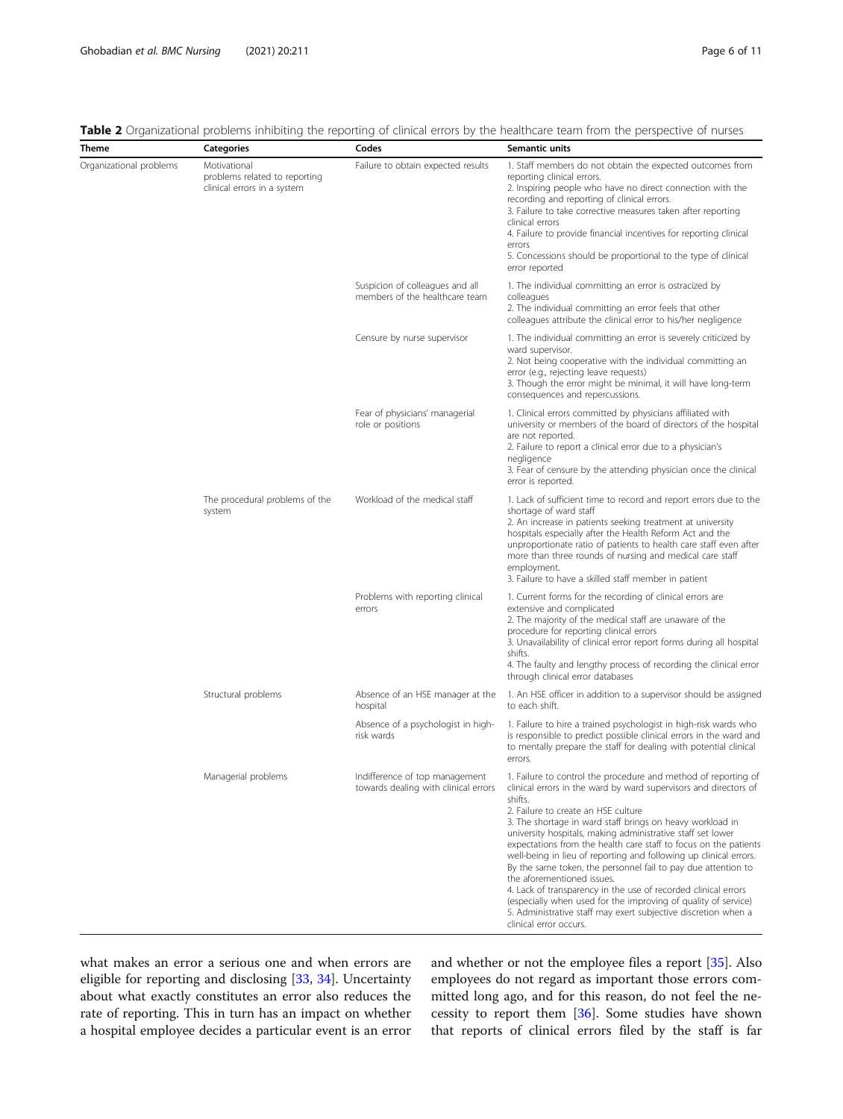| Theme                   | <b>Categories</b>                                                            | Codes                                                                  | Semantic units                                                                                                                                                                                                                                                                                                                                                                                                                                                                                                                                                                                                                                                                                                                                                                           |
|-------------------------|------------------------------------------------------------------------------|------------------------------------------------------------------------|------------------------------------------------------------------------------------------------------------------------------------------------------------------------------------------------------------------------------------------------------------------------------------------------------------------------------------------------------------------------------------------------------------------------------------------------------------------------------------------------------------------------------------------------------------------------------------------------------------------------------------------------------------------------------------------------------------------------------------------------------------------------------------------|
| Organizational problems | Motivational<br>problems related to reporting<br>clinical errors in a system | Failure to obtain expected results                                     | 1. Staff members do not obtain the expected outcomes from<br>reporting clinical errors.<br>2. Inspiring people who have no direct connection with the<br>recording and reporting of clinical errors.<br>3. Failure to take corrective measures taken after reporting<br>clinical errors<br>4. Failure to provide financial incentives for reporting clinical<br>errors<br>5. Concessions should be proportional to the type of clinical<br>error reported                                                                                                                                                                                                                                                                                                                                |
|                         |                                                                              | Suspicion of colleagues and all<br>members of the healthcare team      | 1. The individual committing an error is ostracized by<br>colleagues<br>2. The individual committing an error feels that other<br>colleagues attribute the clinical error to his/her negligence                                                                                                                                                                                                                                                                                                                                                                                                                                                                                                                                                                                          |
|                         |                                                                              | Censure by nurse supervisor                                            | 1. The individual committing an error is severely criticized by<br>ward supervisor.<br>2. Not being cooperative with the individual committing an<br>error (e.g., rejecting leave requests)<br>3. Though the error might be minimal, it will have long-term<br>consequences and repercussions.                                                                                                                                                                                                                                                                                                                                                                                                                                                                                           |
|                         |                                                                              | Fear of physicians' managerial<br>role or positions                    | 1. Clinical errors committed by physicians affiliated with<br>university or members of the board of directors of the hospital<br>are not reported.<br>2. Failure to report a clinical error due to a physician's<br>negligence<br>3. Fear of censure by the attending physician once the clinical<br>error is reported.                                                                                                                                                                                                                                                                                                                                                                                                                                                                  |
|                         | The procedural problems of the<br>system                                     | Workload of the medical staff                                          | 1. Lack of sufficient time to record and report errors due to the<br>shortage of ward staff<br>2. An increase in patients seeking treatment at university<br>hospitals especially after the Health Reform Act and the<br>unproportionate ratio of patients to health care staff even after<br>more than three rounds of nursing and medical care staff<br>employment.<br>3. Failure to have a skilled staff member in patient                                                                                                                                                                                                                                                                                                                                                            |
|                         |                                                                              | Problems with reporting clinical<br>errors                             | 1. Current forms for the recording of clinical errors are<br>extensive and complicated<br>2. The majority of the medical staff are unaware of the<br>procedure for reporting clinical errors<br>3. Unavailability of clinical error report forms during all hospital<br>shifts.<br>4. The faulty and lengthy process of recording the clinical error<br>through clinical error databases                                                                                                                                                                                                                                                                                                                                                                                                 |
|                         | Structural problems                                                          | Absence of an HSE manager at the<br>hospital                           | 1. An HSE officer in addition to a supervisor should be assigned<br>to each shift.                                                                                                                                                                                                                                                                                                                                                                                                                                                                                                                                                                                                                                                                                                       |
|                         |                                                                              | Absence of a psychologist in high-<br>risk wards                       | 1. Failure to hire a trained psychologist in high-risk wards who<br>is responsible to predict possible clinical errors in the ward and<br>to mentally prepare the staff for dealing with potential clinical<br>errors.                                                                                                                                                                                                                                                                                                                                                                                                                                                                                                                                                                   |
|                         | Managerial problems                                                          | Indifference of top management<br>towards dealing with clinical errors | 1. Failure to control the procedure and method of reporting of<br>clinical errors in the ward by ward supervisors and directors of<br>shifts.<br>2. Failure to create an HSE culture<br>3. The shortage in ward staff brings on heavy workload in<br>university hospitals, making administrative staff set lower<br>expectations from the health care staff to focus on the patients<br>well-being in lieu of reporting and following up clinical errors.<br>By the same token, the personnel fail to pay due attention to<br>the aforementioned issues.<br>4. Lack of transparency in the use of recorded clinical errors<br>(especially when used for the improving of quality of service)<br>5. Administrative staff may exert subjective discretion when a<br>clinical error occurs. |

<span id="page-5-0"></span>

|  |  | Table 2 Organizational problems inhibiting the reporting of clinical errors by the healthcare team from the perspective of nurses |
|--|--|-----------------------------------------------------------------------------------------------------------------------------------|
|  |  |                                                                                                                                   |

what makes an error a serious one and when errors are eligible for reporting and disclosing [\[33,](#page-10-0) [34\]](#page-10-0). Uncertainty about what exactly constitutes an error also reduces the rate of reporting. This in turn has an impact on whether a hospital employee decides a particular event is an error

and whether or not the employee files a report [\[35\]](#page-10-0). Also employees do not regard as important those errors committed long ago, and for this reason, do not feel the necessity to report them [\[36\]](#page-10-0). Some studies have shown that reports of clinical errors filed by the staff is far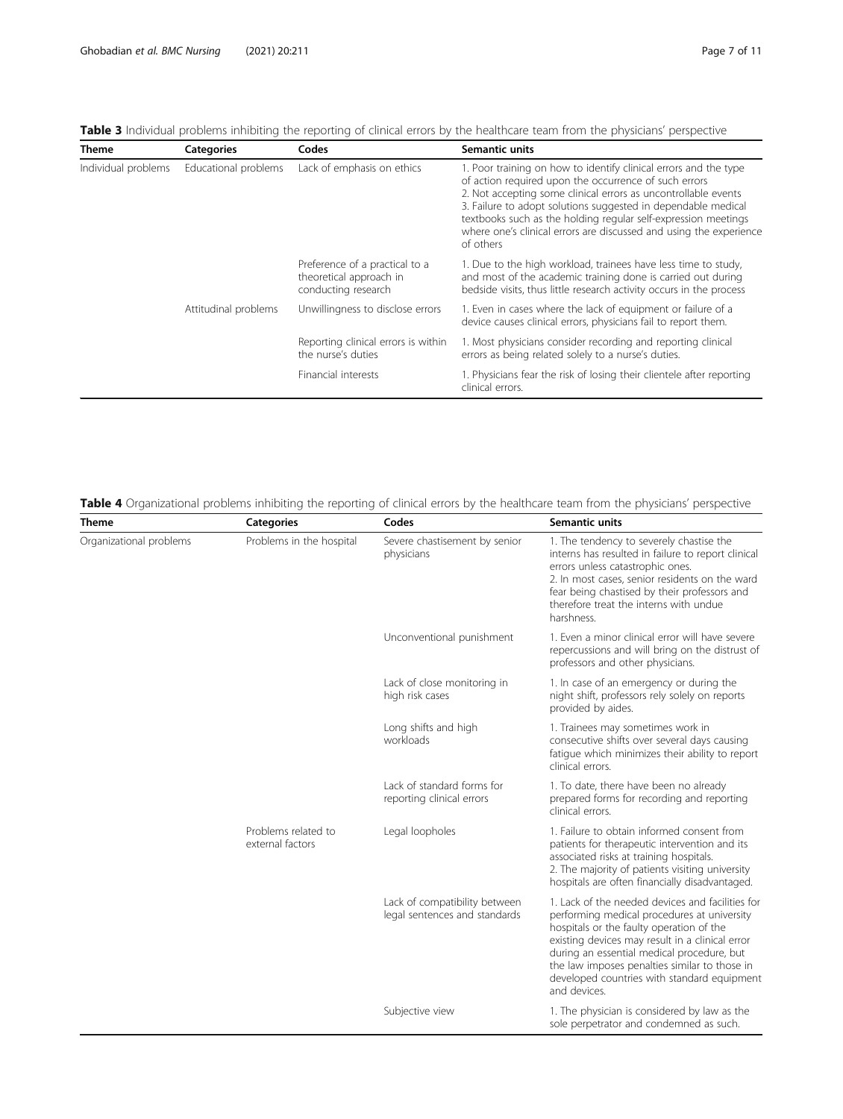<span id="page-6-0"></span>

| <b>Table 3</b> Individual problems inhibiting the reporting of clinical errors by the healthcare team from the physicians' perspective |  |  |  |  |
|----------------------------------------------------------------------------------------------------------------------------------------|--|--|--|--|
|----------------------------------------------------------------------------------------------------------------------------------------|--|--|--|--|

| <b>Theme</b>        | <b>Categories</b>    | Codes                                                                            | Semantic units                                                                                                                                                                                                                                                                                                                                                                                                    |  |
|---------------------|----------------------|----------------------------------------------------------------------------------|-------------------------------------------------------------------------------------------------------------------------------------------------------------------------------------------------------------------------------------------------------------------------------------------------------------------------------------------------------------------------------------------------------------------|--|
| Individual problems | Educational problems | Lack of emphasis on ethics                                                       | 1. Poor training on how to identify clinical errors and the type<br>of action required upon the occurrence of such errors<br>2. Not accepting some clinical errors as uncontrollable events<br>3. Failure to adopt solutions suggested in dependable medical<br>textbooks such as the holding regular self-expression meetings<br>where one's clinical errors are discussed and using the experience<br>of others |  |
|                     |                      | Preference of a practical to a<br>theoretical approach in<br>conducting research | 1. Due to the high workload, trainees have less time to study,<br>and most of the academic training done is carried out during<br>bedside visits, thus little research activity occurs in the process                                                                                                                                                                                                             |  |
|                     | Attitudinal problems | Unwillingness to disclose errors                                                 | 1. Even in cases where the lack of equipment or failure of a<br>device causes clinical errors, physicians fail to report them.                                                                                                                                                                                                                                                                                    |  |
|                     |                      | Reporting clinical errors is within<br>the nurse's duties                        | 1. Most physicians consider recording and reporting clinical<br>errors as being related solely to a nurse's duties.                                                                                                                                                                                                                                                                                               |  |
|                     |                      | Financial interests                                                              | 1. Physicians fear the risk of losing their clientele after reporting<br>clinical errors.                                                                                                                                                                                                                                                                                                                         |  |

| Theme                   | <b>Categories</b>                       | Codes                                                          | <b>Semantic units</b>                                                                                                                                                                                                                                                                                                                                        |
|-------------------------|-----------------------------------------|----------------------------------------------------------------|--------------------------------------------------------------------------------------------------------------------------------------------------------------------------------------------------------------------------------------------------------------------------------------------------------------------------------------------------------------|
| Organizational problems | Problems in the hospital                | Severe chastisement by senior<br>physicians                    | 1. The tendency to severely chastise the<br>interns has resulted in failure to report clinical<br>errors unless catastrophic ones.<br>2. In most cases, senior residents on the ward<br>fear being chastised by their professors and<br>therefore treat the interns with undue<br>harshness.                                                                 |
|                         |                                         | Unconventional punishment                                      | 1. Even a minor clinical error will have severe<br>repercussions and will bring on the distrust of<br>professors and other physicians.                                                                                                                                                                                                                       |
|                         |                                         | Lack of close monitoring in<br>high risk cases                 | 1. In case of an emergency or during the<br>night shift, professors rely solely on reports<br>provided by aides.                                                                                                                                                                                                                                             |
|                         |                                         | Long shifts and high<br>workloads                              | 1. Trainees may sometimes work in<br>consecutive shifts over several days causing<br>fatigue which minimizes their ability to report<br>clinical errors.                                                                                                                                                                                                     |
|                         |                                         | Lack of standard forms for<br>reporting clinical errors        | 1. To date, there have been no already<br>prepared forms for recording and reporting<br>clinical errors.                                                                                                                                                                                                                                                     |
|                         | Problems related to<br>external factors | Legal loopholes                                                | 1. Failure to obtain informed consent from<br>patients for therapeutic intervention and its<br>associated risks at training hospitals.<br>2. The majority of patients visiting university<br>hospitals are often financially disadvantaged.                                                                                                                  |
|                         |                                         | Lack of compatibility between<br>legal sentences and standards | 1. Lack of the needed devices and facilities for<br>performing medical procedures at university<br>hospitals or the faulty operation of the<br>existing devices may result in a clinical error<br>during an essential medical procedure, but<br>the law imposes penalties similar to those in<br>developed countries with standard equipment<br>and devices. |
|                         |                                         | Subjective view                                                | 1. The physician is considered by law as the<br>sole perpetrator and condemned as such.                                                                                                                                                                                                                                                                      |

Table 4 Organizational problems inhibiting the reporting of clinical errors by the healthcare team from the physicians' perspective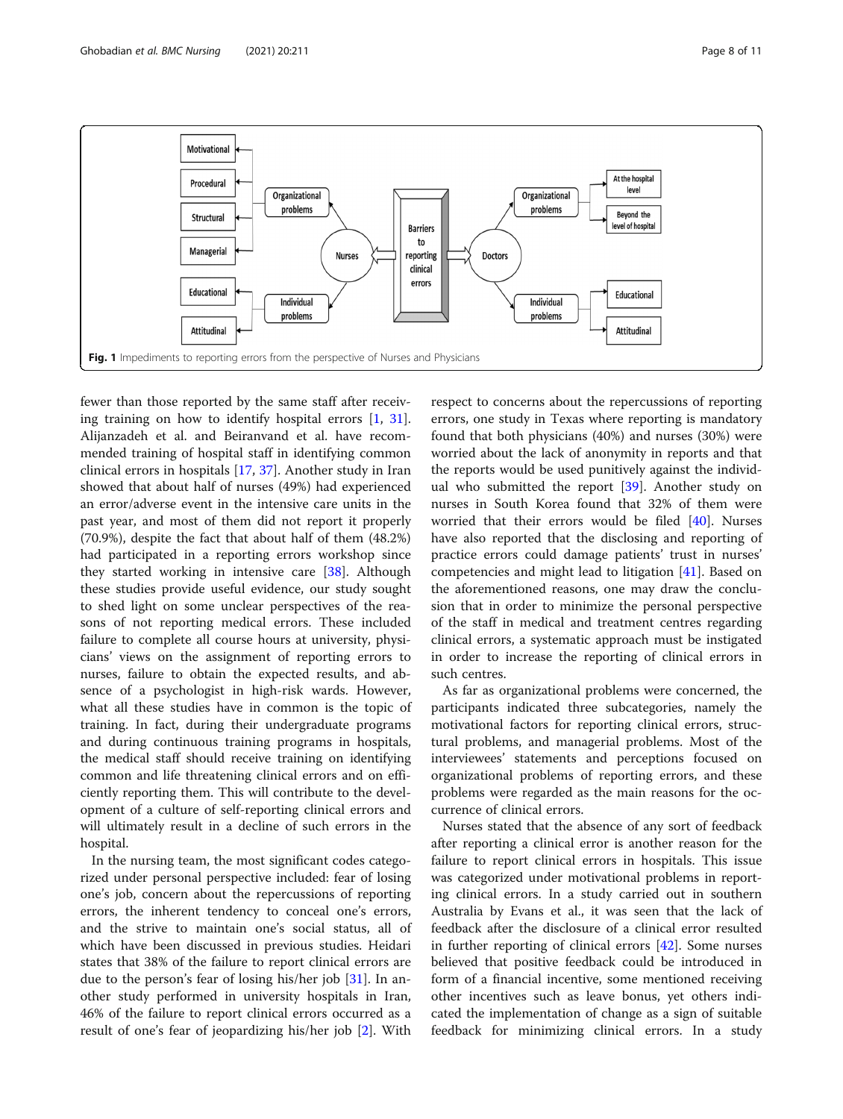<span id="page-7-0"></span>

fewer than those reported by the same staff after receiving training on how to identify hospital errors [[1,](#page-9-0) [31](#page-10-0)]. Alijanzadeh et al. and Beiranvand et al. have recommended training of hospital staff in identifying common clinical errors in hospitals [\[17](#page-10-0), [37](#page-10-0)]. Another study in Iran showed that about half of nurses (49%) had experienced an error/adverse event in the intensive care units in the past year, and most of them did not report it properly (70.9%), despite the fact that about half of them (48.2%) had participated in a reporting errors workshop since they started working in intensive care [[38](#page-10-0)]. Although these studies provide useful evidence, our study sought to shed light on some unclear perspectives of the reasons of not reporting medical errors. These included failure to complete all course hours at university, physicians' views on the assignment of reporting errors to nurses, failure to obtain the expected results, and absence of a psychologist in high-risk wards. However, what all these studies have in common is the topic of training. In fact, during their undergraduate programs and during continuous training programs in hospitals, the medical staff should receive training on identifying common and life threatening clinical errors and on efficiently reporting them. This will contribute to the development of a culture of self-reporting clinical errors and will ultimately result in a decline of such errors in the hospital.

In the nursing team, the most significant codes categorized under personal perspective included: fear of losing one's job, concern about the repercussions of reporting errors, the inherent tendency to conceal one's errors, and the strive to maintain one's social status, all of which have been discussed in previous studies. Heidari states that 38% of the failure to report clinical errors are due to the person's fear of losing his/her job [[31\]](#page-10-0). In another study performed in university hospitals in Iran, 46% of the failure to report clinical errors occurred as a result of one's fear of jeopardizing his/her job [[2\]](#page-9-0). With

respect to concerns about the repercussions of reporting errors, one study in Texas where reporting is mandatory found that both physicians (40%) and nurses (30%) were worried about the lack of anonymity in reports and that the reports would be used punitively against the individual who submitted the report [[39\]](#page-10-0). Another study on nurses in South Korea found that 32% of them were worried that their errors would be filed [\[40](#page-10-0)]. Nurses have also reported that the disclosing and reporting of practice errors could damage patients' trust in nurses' competencies and might lead to litigation [[41\]](#page-10-0). Based on the aforementioned reasons, one may draw the conclusion that in order to minimize the personal perspective of the staff in medical and treatment centres regarding clinical errors, a systematic approach must be instigated in order to increase the reporting of clinical errors in such centres.

As far as organizational problems were concerned, the participants indicated three subcategories, namely the motivational factors for reporting clinical errors, structural problems, and managerial problems. Most of the interviewees' statements and perceptions focused on organizational problems of reporting errors, and these problems were regarded as the main reasons for the occurrence of clinical errors.

Nurses stated that the absence of any sort of feedback after reporting a clinical error is another reason for the failure to report clinical errors in hospitals. This issue was categorized under motivational problems in reporting clinical errors. In a study carried out in southern Australia by Evans et al., it was seen that the lack of feedback after the disclosure of a clinical error resulted in further reporting of clinical errors [[42](#page-10-0)]. Some nurses believed that positive feedback could be introduced in form of a financial incentive, some mentioned receiving other incentives such as leave bonus, yet others indicated the implementation of change as a sign of suitable feedback for minimizing clinical errors. In a study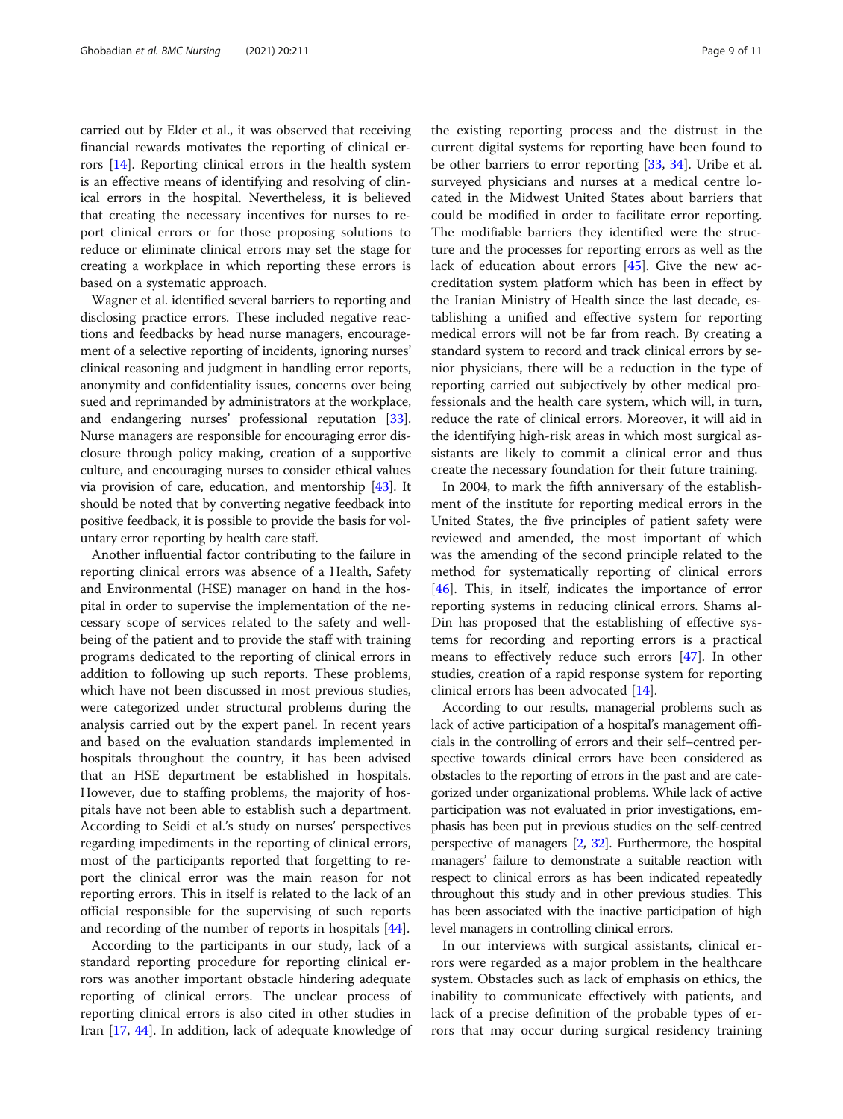carried out by Elder et al., it was observed that receiving financial rewards motivates the reporting of clinical errors [\[14\]](#page-10-0). Reporting clinical errors in the health system is an effective means of identifying and resolving of clinical errors in the hospital. Nevertheless, it is believed that creating the necessary incentives for nurses to report clinical errors or for those proposing solutions to reduce or eliminate clinical errors may set the stage for creating a workplace in which reporting these errors is based on a systematic approach.

Wagner et al. identified several barriers to reporting and disclosing practice errors. These included negative reactions and feedbacks by head nurse managers, encouragement of a selective reporting of incidents, ignoring nurses' clinical reasoning and judgment in handling error reports, anonymity and confidentiality issues, concerns over being sued and reprimanded by administrators at the workplace, and endangering nurses' professional reputation [[33](#page-10-0)]. Nurse managers are responsible for encouraging error disclosure through policy making, creation of a supportive culture, and encouraging nurses to consider ethical values via provision of care, education, and mentorship [\[43\]](#page-10-0). It should be noted that by converting negative feedback into positive feedback, it is possible to provide the basis for voluntary error reporting by health care staff.

Another influential factor contributing to the failure in reporting clinical errors was absence of a Health, Safety and Environmental (HSE) manager on hand in the hospital in order to supervise the implementation of the necessary scope of services related to the safety and wellbeing of the patient and to provide the staff with training programs dedicated to the reporting of clinical errors in addition to following up such reports. These problems, which have not been discussed in most previous studies, were categorized under structural problems during the analysis carried out by the expert panel. In recent years and based on the evaluation standards implemented in hospitals throughout the country, it has been advised that an HSE department be established in hospitals. However, due to staffing problems, the majority of hospitals have not been able to establish such a department. According to Seidi et al.'s study on nurses' perspectives regarding impediments in the reporting of clinical errors, most of the participants reported that forgetting to report the clinical error was the main reason for not reporting errors. This in itself is related to the lack of an official responsible for the supervising of such reports and recording of the number of reports in hospitals [\[44](#page-10-0)].

According to the participants in our study, lack of a standard reporting procedure for reporting clinical errors was another important obstacle hindering adequate reporting of clinical errors. The unclear process of reporting clinical errors is also cited in other studies in Iran [[17,](#page-10-0) [44](#page-10-0)]. In addition, lack of adequate knowledge of

the existing reporting process and the distrust in the current digital systems for reporting have been found to be other barriers to error reporting [\[33,](#page-10-0) [34](#page-10-0)]. Uribe et al. surveyed physicians and nurses at a medical centre located in the Midwest United States about barriers that could be modified in order to facilitate error reporting. The modifiable barriers they identified were the structure and the processes for reporting errors as well as the lack of education about errors [[45](#page-10-0)]. Give the new accreditation system platform which has been in effect by the Iranian Ministry of Health since the last decade, establishing a unified and effective system for reporting medical errors will not be far from reach. By creating a standard system to record and track clinical errors by senior physicians, there will be a reduction in the type of reporting carried out subjectively by other medical professionals and the health care system, which will, in turn, reduce the rate of clinical errors. Moreover, it will aid in the identifying high-risk areas in which most surgical assistants are likely to commit a clinical error and thus create the necessary foundation for their future training.

In 2004, to mark the fifth anniversary of the establishment of the institute for reporting medical errors in the United States, the five principles of patient safety were reviewed and amended, the most important of which was the amending of the second principle related to the method for systematically reporting of clinical errors [[46\]](#page-10-0). This, in itself, indicates the importance of error reporting systems in reducing clinical errors. Shams al-Din has proposed that the establishing of effective systems for recording and reporting errors is a practical means to effectively reduce such errors [\[47\]](#page-10-0). In other studies, creation of a rapid response system for reporting clinical errors has been advocated [\[14](#page-10-0)].

According to our results, managerial problems such as lack of active participation of a hospital's management officials in the controlling of errors and their self–centred perspective towards clinical errors have been considered as obstacles to the reporting of errors in the past and are categorized under organizational problems. While lack of active participation was not evaluated in prior investigations, emphasis has been put in previous studies on the self-centred perspective of managers [[2](#page-9-0), [32](#page-10-0)]. Furthermore, the hospital managers' failure to demonstrate a suitable reaction with respect to clinical errors as has been indicated repeatedly throughout this study and in other previous studies. This has been associated with the inactive participation of high level managers in controlling clinical errors.

In our interviews with surgical assistants, clinical errors were regarded as a major problem in the healthcare system. Obstacles such as lack of emphasis on ethics, the inability to communicate effectively with patients, and lack of a precise definition of the probable types of errors that may occur during surgical residency training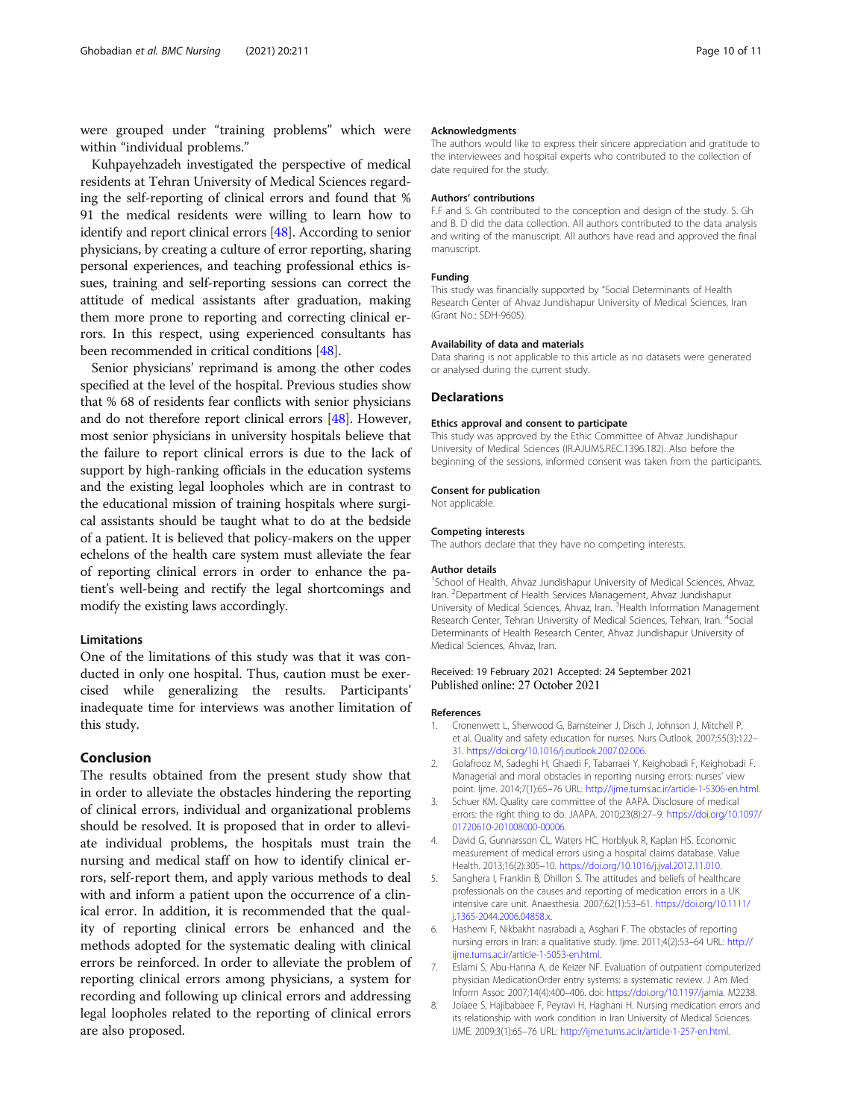<span id="page-9-0"></span>were grouped under "training problems" which were within "individual problems."

Kuhpayehzadeh investigated the perspective of medical residents at Tehran University of Medical Sciences regarding the self-reporting of clinical errors and found that % 91 the medical residents were willing to learn how to identify and report clinical errors [[48](#page-10-0)]. According to senior physicians, by creating a culture of error reporting, sharing personal experiences, and teaching professional ethics issues, training and self-reporting sessions can correct the attitude of medical assistants after graduation, making them more prone to reporting and correcting clinical errors. In this respect, using experienced consultants has been recommended in critical conditions [\[48\]](#page-10-0).

Senior physicians' reprimand is among the other codes specified at the level of the hospital. Previous studies show that % 68 of residents fear conflicts with senior physicians and do not therefore report clinical errors [\[48](#page-10-0)]. However, most senior physicians in university hospitals believe that the failure to report clinical errors is due to the lack of support by high-ranking officials in the education systems and the existing legal loopholes which are in contrast to the educational mission of training hospitals where surgical assistants should be taught what to do at the bedside of a patient. It is believed that policy-makers on the upper echelons of the health care system must alleviate the fear of reporting clinical errors in order to enhance the patient's well-being and rectify the legal shortcomings and modify the existing laws accordingly.

# Limitations

One of the limitations of this study was that it was conducted in only one hospital. Thus, caution must be exercised while generalizing the results. Participants' inadequate time for interviews was another limitation of this study.

# Conclusion

The results obtained from the present study show that in order to alleviate the obstacles hindering the reporting of clinical errors, individual and organizational problems should be resolved. It is proposed that in order to alleviate individual problems, the hospitals must train the nursing and medical staff on how to identify clinical errors, self-report them, and apply various methods to deal with and inform a patient upon the occurrence of a clinical error. In addition, it is recommended that the quality of reporting clinical errors be enhanced and the methods adopted for the systematic dealing with clinical errors be reinforced. In order to alleviate the problem of reporting clinical errors among physicians, a system for recording and following up clinical errors and addressing legal loopholes related to the reporting of clinical errors are also proposed.

#### Acknowledgments

The authors would like to express their sincere appreciation and gratitude to the interviewees and hospital experts who contributed to the collection of date required for the study.

#### Authors' contributions

F.F and S. Gh contributed to the conception and design of the study. S. Gh and B. D did the data collection. All authors contributed to the data analysis and writing of the manuscript. All authors have read and approved the final manuscript.

## Funding

This study was financially supported by "Social Determinants of Health Research Center of Ahvaz Jundishapur University of Medical Sciences, Iran (Grant No.: SDH-9605).

#### Availability of data and materials

Data sharing is not applicable to this article as no datasets were generated or analysed during the current study.

#### Declarations

#### Ethics approval and consent to participate

This study was approved by the Ethic Committee of Ahvaz Jundishapur University of Medical Sciences (IR.AJUMS.REC.1396.182). Also before the beginning of the sessions, informed consent was taken from the participants.

#### Consent for publication

Not applicable.

#### Competing interests

The authors declare that they have no competing interests.

#### Author details

<sup>1</sup>School of Health, Ahvaz Jundishapur University of Medical Sciences, Ahvaz, Iran. <sup>2</sup> Department of Health Services Management, Ahvaz Jundishapur University of Medical Sciences, Ahvaz, Iran. <sup>3</sup> Health Information Management Research Center, Tehran University of Medical Sciences, Tehran, Iran. <sup>4</sup>Social Determinants of Health Research Center, Ahvaz Jundishapur University of Medical Sciences, Ahvaz, Iran.

#### Received: 19 February 2021 Accepted: 24 September 2021 Published online: 27 October 2021

#### References

- 1. Cronenwett L, Sherwood G, Barnsteiner J, Disch J, Johnson J, Mitchell P, et al. Quality and safety education for nurses. Nurs Outlook. 2007;55(3):122– 31. [https://doi.org/10.1016/j.outlook.2007.02.006.](https://doi.org/10.1016/j.outlook.2007.02.006)
- 2. Golafrooz M, Sadeghi H, Ghaedi F, Tabarraei Y, Keighobadi F, Keighobadi F. Managerial and moral obstacles in reporting nursing errors: nurses' view point. Ijme. 2014;7(1):65–76 URL: <http://ijme.tums.ac.ir/article-1-5306-en.html>.
- 3. Schuer KM. Quality care committee of the AAPA. Disclosure of medical errors: the right thing to do. JAAPA. 2010;23(8):27–9. [https://doi.org/10.1097/](https://doi.org/10.1097/01720610-201008000-00006) [01720610-201008000-00006.](https://doi.org/10.1097/01720610-201008000-00006)
- 4. David G, Gunnarsson CL, Waters HC, Horblyuk R, Kaplan HS. Economic measurement of medical errors using a hospital claims database. Value Health. 2013;16(2):305–10. [https://doi.org/10.1016/j.jval.2012.11.010.](https://doi.org/10.1016/j.jval.2012.11.010)
- 5. Sanghera I, Franklin B, Dhillon S. The attitudes and beliefs of healthcare professionals on the causes and reporting of medication errors in a UK intensive care unit. Anaesthesia. 2007;62(1):53–61. [https://doi.org/10.1111/](https://doi.org/10.1111/j.1365-2044.2006.04858.x) [j.1365-2044.2006.04858.x](https://doi.org/10.1111/j.1365-2044.2006.04858.x).
- 6. Hashemi F, Nikbakht nasrabadi a, Asghari F. The obstacles of reporting nursing errors in Iran: a qualitative study. Ijme. 2011;4(2):53–64 URL: [http://](http://ijme.tums.ac.ir/article-1-5053-en.html) [ijme.tums.ac.ir/article-1-5053-en.html.](http://ijme.tums.ac.ir/article-1-5053-en.html)
- 7. Eslami S, Abu-Hanna A, de Keizer NF. Evaluation of outpatient computerized physician MedicationOrder entry systems: a systematic review. J Am Med Inform Assoc 2007;14(4):400–406. doi: <https://doi.org/10.1197/jamia>. M2238.
- 8. Jolaee S, Hajibabaee F, Peyravi H, Haghani H. Nursing medication errors and its relationship with work condition in Iran University of Medical Sciences. IJME. 2009;3(1):65–76 URL: [http://ijme.tums.ac.ir/article-1-257-en.html.](http://ijme.tums.ac.ir/article-1-257-en.html)